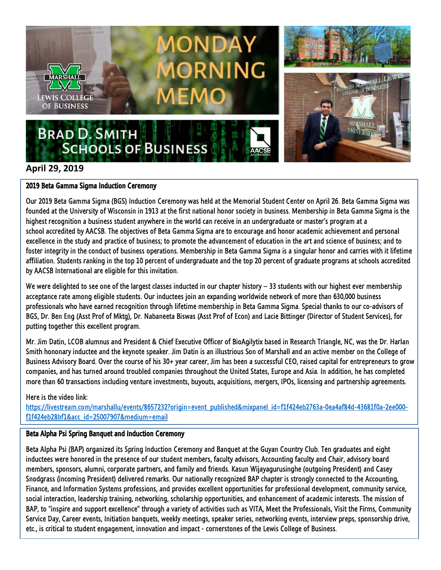

# **April 29, 2019**

### 2019 Beta Gamma Sigma Induction Ceremony

Our 2019 Beta Gamma Sigma (BGS) Induction Ceremony was held at the Memorial Student Center on April 26. Beta Gamma Sigma was founded at the University of Wisconsin in 1913 at the first national honor society in business. Membership in Beta Gamma Sigma is the highest recognition a business student anywhere in the world can receive in an undergraduate or master's program at a school accredited by AACSB. The objectives of Beta Gamma Sigma are to encourage and honor academic achievement and personal excellence in the study and practice of business; to promote the advancement of education in the art and science of business; and to foster integrity in the conduct of business operations. Membership in Beta Gamma Sigma is a singular honor and carries with it lifetime affiliation. Students ranking in the top 10 percent of undergraduate and the top 20 percent of graduate programs at schools accredited by AACSB International are eligible for this invitation.

We were delighted to see one of the largest classes inducted in our chapter history  $-$  33 students with our highest ever membership acceptance rate among eligible students. Our inductees join an expanding worldwide network of more than 630,000 business professionals who have earned recognition through lifetime membership in Beta Gamma Sigma. Special thanks to our co-advisors of BGS, Dr. Ben Eng (Asst Prof of Mktg), Dr. Nabaneeta Biswas (Asst Prof of Econ) and Lacie Bittinger (Director of Student Services), for putting together this excellent program.

Mr. Jim Datin, LCOB alumnus and President & Chief Executive Officer of BioAgilytix based in Research Triangle, NC, was the Dr. Harlan Smith hononary inductee and the keynote speaker. Jim Datin is an illustrious Son of Marshall and an active member on the College of Business Advisory Board. Over the course of his 30+ year career, Jim has been a successful CEO, raised capital for entrepreneurs to grow companies, and has turned around troubled companies throughout the United States, Europe and Asia. In addition, he has completed more than 60 transactions including venture investments, buyouts, acquisitions, mergers, IPOs, licensing and partnership agreements.

## Here is the video link:

[https://livestream.com/marshallu/events/8657232?origin=event\\_published&mixpanel\\_id=f1f424eb2763a-0ea4af84d-43681f0a-2ee000](https://livestream.com/marshallu/events/8657232?origin=event_published&mixpanel_id=f1f424eb2763a-0ea4af84d-43681f0a-2ee000-f1f424eb28bf1&acc_id=25007907&medium=email) [f1f424eb28bf1&acc\\_id=25007907&medium=email](https://livestream.com/marshallu/events/8657232?origin=event_published&mixpanel_id=f1f424eb2763a-0ea4af84d-43681f0a-2ee000-f1f424eb28bf1&acc_id=25007907&medium=email)

## Beta Alpha Psi Spring Banquet and Induction Ceremony

Beta Alpha Psi (BAP) organized its Spring Induction Ceremony and Banquet at the Guyan Country Club. Ten graduates and eight inductees were honored in the presence of our student members, faculty advisors, Accounting faculty and Chair, advisory board members, sponsors, alumni, corporate partners, and family and friends. Kasun Wijayagurusinghe (outgoing President) and Casey Snodgrass (incoming President) delivered remarks. Our nationally recognized BAP chapter is strongly connected to the Accounting, Finance, and Information Systems professions, and provides excellent opportunities for professional development, community service, social interaction, leadership training, networking, scholarship opportunities, and enhancement of academic interests. The mission of BAP, to "inspire and support excellence" through a variety of activities such as VITA, Meet the Professionals, Visit the Firms, Community Service Day, Career events, Initiation banquets, weekly meetings, speaker series, networking events, interview preps, sponsorship drive, etc., is critical to student engagement, innovation and impact - cornerstones of the Lewis College of Business.